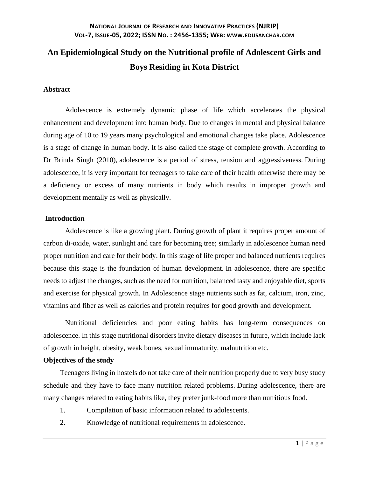# **An Epidemiological Study on the Nutritional profile of Adolescent Girls and Boys Residing in Kota District**

## **Abstract**

Adolescence is extremely dynamic phase of life which accelerates the physical enhancement and development into human body. Due to changes in mental and physical balance during age of 10 to 19 years many psychological and emotional changes take place. Adolescence is a stage of change in human body. It is also called the stage of complete growth. According to Dr Brinda Singh (2010), adolescence is a period of stress, tension and aggressiveness. During adolescence, it is very important for teenagers to take care of their health otherwise there may be a deficiency or excess of many nutrients in body which results in improper growth and development mentally as well as physically.

## **Introduction**

Adolescence is like a growing plant. During growth of plant it requires proper amount of carbon di-oxide, water, sunlight and care for becoming tree; similarly in adolescence human need proper nutrition and care for their body. In this stage of life proper and balanced nutrients requires because this stage is the foundation of human development. In adolescence, there are specific needs to adjust the changes, such as the need for nutrition, balanced tasty and enjoyable diet, sports and exercise for physical growth. In Adolescence stage nutrients such as fat, calcium, iron, zinc, vitamins and fiber as well as calories and protein requires for good growth and development.

Nutritional deficiencies and poor eating habits has long-term consequences on adolescence. In this stage nutritional disorders invite dietary diseases in future, which include lack of growth in height, obesity, weak bones, sexual immaturity, malnutrition etc.

## **Objectives of the study**

Teenagers living in hostels do not take care of their nutrition properly due to very busy study schedule and they have to face many nutrition related problems. During adolescence, there are many changes related to eating habits like, they prefer junk-food more than nutritious food.

- 1. Compilation of basic information related to adolescents.
- 2. Knowledge of nutritional requirements in adolescence.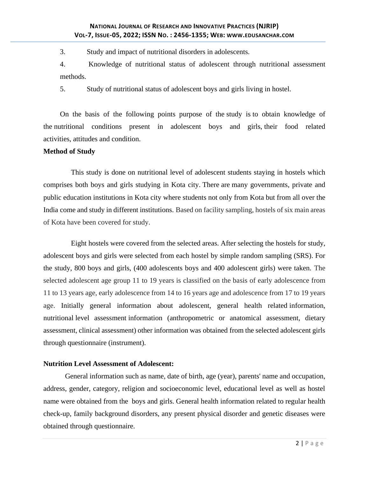3. Study and impact of nutritional disorders in adolescents.

4. Knowledge of nutritional status of adolescent through nutritional assessment methods.

5. Study of nutritional status of adolescent boys and girls living in hostel.

On the basis of the following points purpose of the study is to obtain knowledge of the nutritional conditions present in adolescent boys and girls, their food related activities, attitudes and condition.

## **Method of Study**

This study is done on nutritional level of adolescent students staying in hostels which comprises both boys and girls studying in Kota city. There are many governments, private and public education institutions in Kota city where students not only from Kota but from all over the India come and study in different institutions. Based on facility sampling, hostels of six main areas of Kota have been covered for study.

Eight hostels were covered from the selected areas. After selecting the hostels for study, adolescent boys and girls were selected from each hostel by simple random sampling (SRS). For the study, 800 boys and girls, (400 adolescents boys and 400 adolescent girls) were taken. The selected adolescent age group 11 to 19 years is classified on the basis of early adolescence from 11 to 13 years age, early adolescence from 14 to 16 years age and adolescence from 17 to 19 years age. Initially general information about adolescent, general health related information, nutritional level assessment information (anthropometric or anatomical assessment, dietary assessment, clinical assessment) other information was obtained from the selected adolescent girls through questionnaire (instrument).

## **Nutrition Level Assessment of Adolescent:**

General information such as name, date of birth, age (year), parents' name and occupation, address, gender, category, religion and socioeconomic level, educational level as well as hostel name were obtained from the boys and girls. General health information related to regular health check-up, family background disorders, any present physical disorder and genetic diseases were obtained through questionnaire.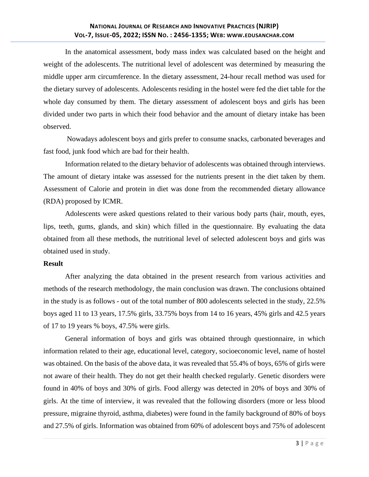In the anatomical assessment, body mass index was calculated based on the height and weight of the adolescents. The nutritional level of adolescent was determined by measuring the middle upper arm circumference. In the dietary assessment, 24-hour recall method was used for the dietary survey of adolescents. Adolescents residing in the hostel were fed the diet table for the whole day consumed by them. The dietary assessment of adolescent boys and girls has been divided under two parts in which their food behavior and the amount of dietary intake has been observed.

Nowadays adolescent boys and girls prefer to consume snacks, carbonated beverages and fast food, junk food which are bad for their health.

Information related to the dietary behavior of adolescents was obtained through interviews. The amount of dietary intake was assessed for the nutrients present in the diet taken by them. Assessment of Calorie and protein in diet was done from the recommended dietary allowance (RDA) proposed by ICMR.

Adolescents were asked questions related to their various body parts (hair, mouth, eyes, lips, teeth, gums, glands, and skin) which filled in the questionnaire. By evaluating the data obtained from all these methods, the nutritional level of selected adolescent boys and girls was obtained used in study.

#### **Result**

After analyzing the data obtained in the present research from various activities and methods of the research methodology, the main conclusion was drawn. The conclusions obtained in the study is as follows - out of the total number of 800 adolescents selected in the study, 22.5% boys aged 11 to 13 years, 17.5% girls, 33.75% boys from 14 to 16 years, 45% girls and 42.5 years of 17 to 19 years % boys, 47.5% were girls.

General information of boys and girls was obtained through questionnaire, in which information related to their age, educational level, category, socioeconomic level, name of hostel was obtained. On the basis of the above data, it was revealed that 55.4% of boys, 65% of girls were not aware of their health. They do not get their health checked regularly. Genetic disorders were found in 40% of boys and 30% of girls. Food allergy was detected in 20% of boys and 30% of girls. At the time of interview, it was revealed that the following disorders (more or less blood pressure, migraine thyroid, asthma, diabetes) were found in the family background of 80% of boys and 27.5% of girls. Information was obtained from 60% of adolescent boys and 75% of adolescent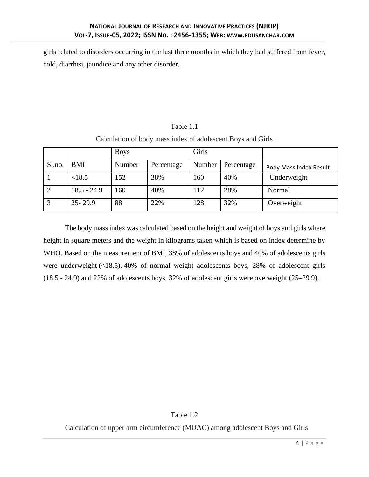girls related to disorders occurring in the last three months in which they had suffered from fever, cold, diarrhea, jaundice and any other disorder.

| Calculation of body mass index of adolescent Boys and Girls |               |             |            |              |            |                               |  |  |
|-------------------------------------------------------------|---------------|-------------|------------|--------------|------------|-------------------------------|--|--|
|                                                             |               | <b>Boys</b> |            | <b>Girls</b> |            |                               |  |  |
| Sl.no.                                                      | BMI           | Number      | Percentage | Number       | Percentage | <b>Body Mass Index Result</b> |  |  |
|                                                             | < 18.5        | 152         | 38%        | 160          | 40%        | Underweight                   |  |  |
|                                                             | $18.5 - 24.9$ | 160         | 40%        | 112          | 28%        | Normal                        |  |  |
|                                                             | $25 - 29.9$   | 88          | 22%        | 128          | 32%        | Overweight                    |  |  |

Calculation of body mass index of adolescent Boys and Girls

Table 1.1

The body mass index was calculated based on the height and weight of boys and girls where height in square meters and the weight in kilograms taken which is based on index determine by WHO. Based on the measurement of BMI, 38% of adolescents boys and 40% of adolescents girls were underweight (<18.5). 40% of normal weight adolescents boys, 28% of adolescent girls (18.5 - 24.9) and 22% of adolescents boys, 32% of adolescent girls were overweight (25–29.9).

## Table 1.2

Calculation of upper arm circumference (MUAC) among adolescent Boys and Girls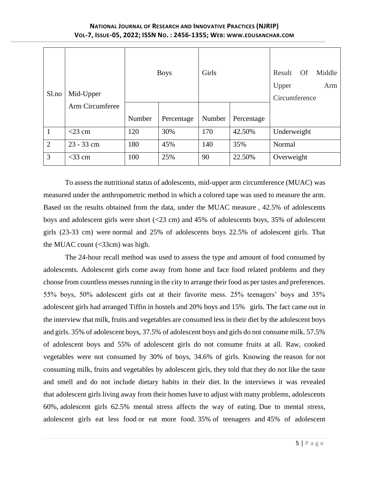## **NATIONAL JOURNAL OF RESEARCH AND INNOVATIVE PRACTICES (NJRIP) VOL-7, ISSUE-05, 2022; ISSN NO. : 2456-1355; WEB: WWW.[EDUSANCHAR](http://www.edusanchar.com/).COM**

| Sl.no          | Mid-Upper<br>Arm Circumferee |        | <b>Boys</b> | Girls  |            | Middle<br>Result<br><b>Of</b><br>Upper<br>Arm<br>Circumference |  |
|----------------|------------------------------|--------|-------------|--------|------------|----------------------------------------------------------------|--|
|                |                              | Number | Percentage  | Number | Percentage |                                                                |  |
| $\mathbf{1}$   | $<$ 23 cm                    | 120    | 30%         | 170    | 42.50%     | Underweight                                                    |  |
| $\overline{2}$ | $23 - 33$ cm                 | 180    | 45%         | 140    | 35%        | Normal                                                         |  |
| 3              | $<$ 33 cm                    | 100    | 25%         | 90     | 22.50%     | Overweight                                                     |  |

To assess the nutritional status of adolescents, mid-upper arm circumference (MUAC) was measured under the anthropometric method in which a colored tape was used to measure the arm. Based on the results obtained from the data, under the MUAC measure , 42.5% of adolescents boys and adolescent girls were short (<23 cm) and 45% of adolescents boys, 35% of adolescent girls (23-33 cm) were normal and 25% of adolescents boys 22.5% of adolescent girls. That the MUAC count  $\left(\langle 33cm \rangle\right)$  was high.

The 24-hour recall method was used to assess the type and amount of food consumed by adolescents. Adolescent girls come away from home and face food related problems and they choose from countless messes running in the city to arrange their food as per tastes and preferences. 55% boys, 50% adolescent girls eat at their favorite mess. 25% teenagers' boys and 35% adolescent girls had arranged Tiffin in hostels and 20% boys and 15% girls. The fact came out in the interview that milk, fruits and vegetables are consumed less in their diet by the adolescent boys and girls. 35% of adolescent boys, 37.5% of adolescent boys and girls do not consume milk. 57.5% of adolescent boys and 55% of adolescent girls do not consume fruits at all. Raw, cooked vegetables were not consumed by 30% of boys, 34.6% of girls. Knowing the reason for not consuming milk, fruits and vegetables by adolescent girls, they told that they do not like the taste and smell and do not include dietary habits in their diet. In the interviews it was revealed that adolescent girls living away from their homes have to adjust with many problems, adolescents 60%, adolescent girls 62.5% mental stress affects the way of eating. Due to mental stress, adolescent girls eat less food or eat more food. 35% of teenagers and 45% of adolescent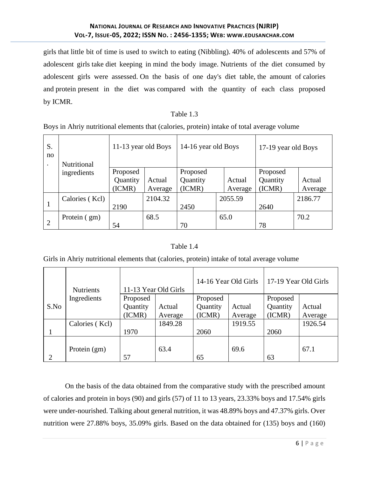girls that little bit of time is used to switch to eating (Nibbling). 40% of adolescents and 57% of adolescent girls take diet keeping in mind the body image. Nutrients of the diet consumed by adolescent girls were assessed. On the basis of one day's diet table, the amount of calories and protein present in the diet was compared with the quantity of each class proposed by ICMR.

## Table 1.3

Boys in Ahriy nutritional elements that (calories, protein) intake of total average volume

| S.<br>no | Nutritional    | 11-13 year old Boys |         | 14-16 year old Boys |         | 17-19 year old Boys |          |         |
|----------|----------------|---------------------|---------|---------------------|---------|---------------------|----------|---------|
|          | ingredients    | Proposed            |         | Proposed            |         |                     | Proposed |         |
|          |                | Quantity            | Actual  | Quantity            | Actual  |                     | Quantity | Actual  |
|          |                | (ICMR)              | Average | (ICMR)              | Average |                     | (ICMR)   | Average |
|          | Calories (Kcl) |                     | 2104.32 |                     | 2055.59 |                     |          | 2186.77 |
| 1        |                | 2190                |         | 2450                |         |                     | 2640     |         |
|          | Protein (gm)   |                     | 68.5    |                     | 65.0    |                     |          | 70.2    |
| 2        |                | 54                  |         | 70                  |         |                     | 78       |         |

## Table 1.4

Girls in Ahriy nutritional elements that (calories, protein) intake of total average volume

|      | <b>Nutrients</b> | 11-13 Year Old Girls |         | 14-16 Year Old Girls |         | 17-19 Year Old Girls |         |
|------|------------------|----------------------|---------|----------------------|---------|----------------------|---------|
|      | Ingredients      | Proposed             |         | Proposed             |         | Proposed             |         |
| S.No |                  | Quantity             | Actual  | Quantity             | Actual  | Quantity             | Actual  |
|      |                  | (ICMR)               | Average | (ICMR)               | Average | (ICMR)               | Average |
|      | Calories (Kcl)   |                      | 1849.28 |                      | 1919.55 |                      | 1926.54 |
|      |                  | 1970                 |         | 2060                 |         | 2060                 |         |
|      | Protein (gm)     | 57                   | 63.4    | 65                   | 69.6    | 63                   | 67.1    |

On the basis of the data obtained from the comparative study with the prescribed amount of calories and protein in boys (90) and girls (57) of 11 to 13 years, 23.33% boys and 17.54% girls were under-nourished. Talking about general nutrition, it was 48.89% boys and 47.37% girls. Over nutrition were 27.88% boys, 35.09% girls. Based on the data obtained for (135) boys and (160)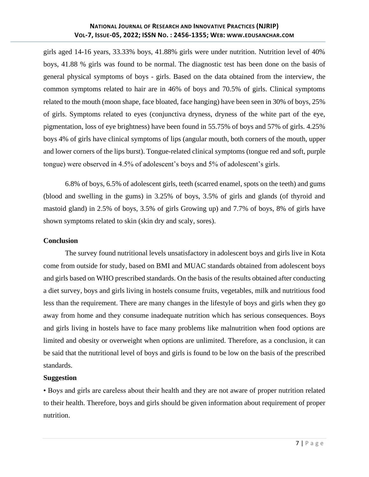girls aged 14-16 years, 33.33% boys, 41.88% girls were under nutrition. Nutrition level of 40% boys, 41.88 % girls was found to be normal. The diagnostic test has been done on the basis of general physical symptoms of boys - girls. Based on the data obtained from the interview, the common symptoms related to hair are in 46% of boys and 70.5% of girls. Clinical symptoms related to the mouth (moon shape, face bloated, face hanging) have been seen in 30% of boys, 25% of girls. Symptoms related to eyes (conjunctiva dryness, dryness of the white part of the eye, pigmentation, loss of eye brightness) have been found in 55.75% of boys and 57% of girls. 4.25% boys 4% of girls have clinical symptoms of lips (angular mouth, both corners of the mouth, upper and lower corners of the lips burst). Tongue-related clinical symptoms (tongue red and soft, purple tongue) were observed in 4.5% of adolescent's boys and 5% of adolescent's girls.

6.8% of boys, 6.5% of adolescent girls, teeth (scarred enamel, spots on the teeth) and gums (blood and swelling in the gums) in 3.25% of boys, 3.5% of girls and glands (of thyroid and mastoid gland) in 2.5% of boys, 3.5% of girls Growing up) and 7.7% of boys, 8% of girls have shown symptoms related to skin (skin dry and scaly, sores).

## **Conclusion**

The survey found nutritional levels unsatisfactory in adolescent boys and girls live in Kota come from outside for study, based on BMI and MUAC standards obtained from adolescent boys and girls based on WHO prescribed standards. On the basis of the results obtained after conducting a diet survey, boys and girls living in hostels consume fruits, vegetables, milk and nutritious food less than the requirement. There are many changes in the lifestyle of boys and girls when they go away from home and they consume inadequate nutrition which has serious consequences. Boys and girls living in hostels have to face many problems like malnutrition when food options are limited and obesity or overweight when options are unlimited. Therefore, as a conclusion, it can be said that the nutritional level of boys and girls is found to be low on the basis of the prescribed standards.

## **Suggestion**

• Boys and girls are careless about their health and they are not aware of proper nutrition related to their health. Therefore, boys and girls should be given information about requirement of proper nutrition.